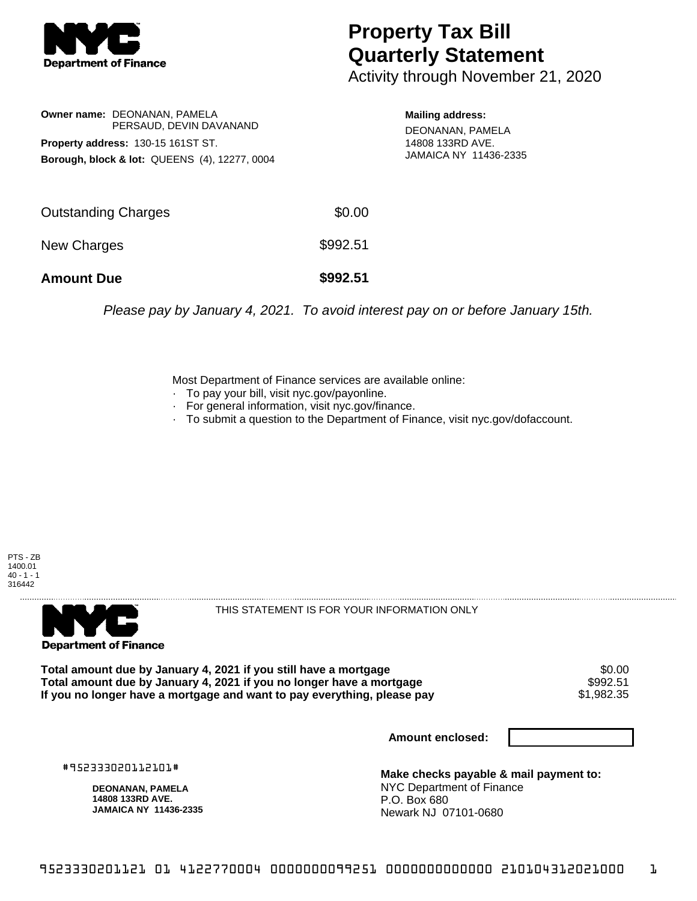

## **Property Tax Bill Quarterly Statement**

Activity through November 21, 2020

**Owner name:** DEONANAN, PAMELA PERSAUD, DEVIN DAVANAND **Property address:** 130-15 161ST ST. **Borough, block & lot:** QUEENS (4), 12277, 0004

**Mailing address:**

DEONANAN, PAMELA 14808 133RD AVE. JAMAICA NY 11436-2335

| <b>Amount Due</b>   | \$992.51 |
|---------------------|----------|
| New Charges         | \$992.51 |
| Outstanding Charges | \$0.00   |

Please pay by January 4, 2021. To avoid interest pay on or before January 15th.

Most Department of Finance services are available online:

- · To pay your bill, visit nyc.gov/payonline.
- For general information, visit nyc.gov/finance.
- · To submit a question to the Department of Finance, visit nyc.gov/dofaccount.

PTS - ZB 1400.01  $40 - 1 - 1$ 316442



THIS STATEMENT IS FOR YOUR INFORMATION ONLY

Total amount due by January 4, 2021 if you still have a mortgage \$0.00<br>Total amount due by January 4, 2021 if you no longer have a mortgage \$992.51 **Total amount due by January 4, 2021 if you no longer have a mortgage \$992.51<br>If you no longer have a mortgage and want to pay everything, please pay \$1,982.35** If you no longer have a mortgage and want to pay everything, please pay

**Amount enclosed:**

#952333020112101#

**DEONANAN, PAMELA 14808 133RD AVE. JAMAICA NY 11436-2335**

**Make checks payable & mail payment to:** NYC Department of Finance P.O. Box 680 Newark NJ 07101-0680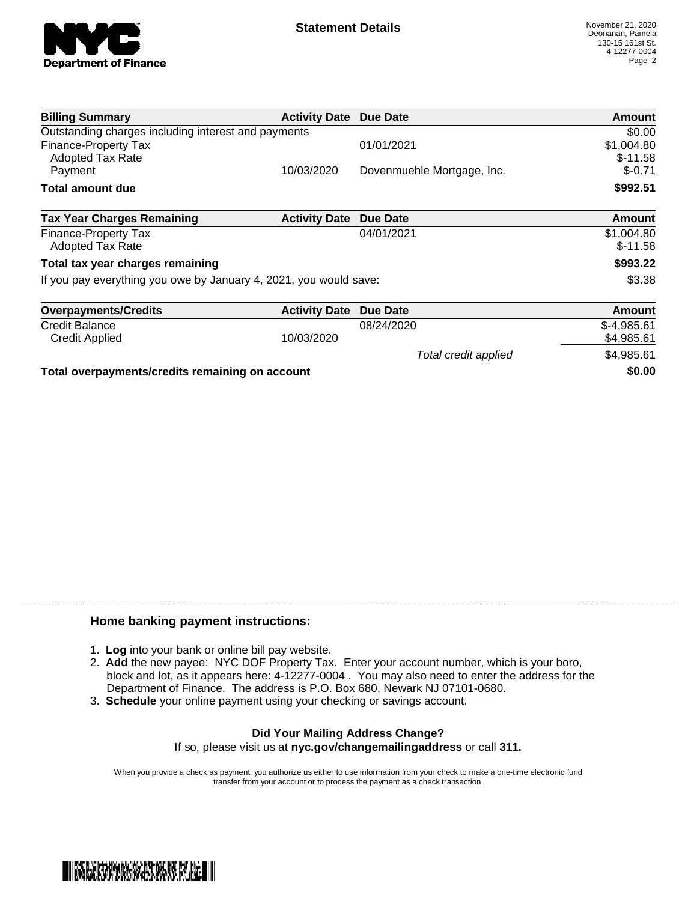

| <b>Billing Summary</b>                                            | <b>Activity Date Due Date</b> |                            | Amount                  |
|-------------------------------------------------------------------|-------------------------------|----------------------------|-------------------------|
| Outstanding charges including interest and payments               |                               |                            | \$0.00                  |
| Finance-Property Tax<br><b>Adopted Tax Rate</b>                   |                               | 01/01/2021                 | \$1,004.80<br>$$-11.58$ |
| Payment                                                           | 10/03/2020                    | Dovenmuehle Mortgage, Inc. | $$ -0.71$               |
| <b>Total amount due</b>                                           |                               |                            | \$992.51                |
| <b>Tax Year Charges Remaining</b>                                 | <b>Activity Date</b>          | Due Date                   | <b>Amount</b>           |
| Finance-Property Tax<br>Adopted Tax Rate                          |                               | 04/01/2021                 | \$1,004.80<br>$$-11.58$ |
| Total tax year charges remaining                                  |                               |                            | \$993.22                |
| If you pay everything you owe by January 4, 2021, you would save: |                               |                            | \$3.38                  |
| <b>Overpayments/Credits</b>                                       | <b>Activity Date</b>          | Due Date                   | <b>Amount</b>           |
| <b>Credit Balance</b>                                             |                               | 08/24/2020                 | $$-4,985.61$            |
| <b>Credit Applied</b>                                             | 10/03/2020                    |                            | \$4,985.61              |
|                                                                   |                               | Total credit applied       | \$4,985.61              |

**Total overpayments/credits remaining on account \$0.00**

## **Home banking payment instructions:**

- 1. **Log** into your bank or online bill pay website.
- 2. **Add** the new payee: NYC DOF Property Tax. Enter your account number, which is your boro, block and lot, as it appears here: 4-12277-0004 . You may also need to enter the address for the Department of Finance. The address is P.O. Box 680, Newark NJ 07101-0680.
- 3. **Schedule** your online payment using your checking or savings account.

## **Did Your Mailing Address Change?** If so, please visit us at **nyc.gov/changemailingaddress** or call **311.**

When you provide a check as payment, you authorize us either to use information from your check to make a one-time electronic fund

transfer from your account or to process the payment as a check transaction.